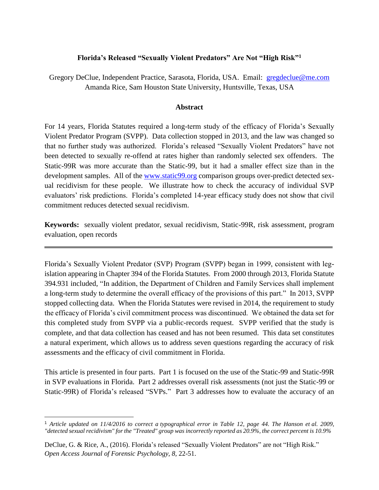### **Florida's Released "Sexually Violent Predators" Are Not "High Risk"<sup>1</sup>**

Gregory DeClue, Independent Practice, Sarasota, Florida, USA. Email: [gregdeclue@me.com](mailto:gregdeclue@me.com) Amanda Rice, Sam Houston State University, Huntsville, Texas, USA

#### **Abstract**

For 14 years, Florida Statutes required a long-term study of the efficacy of Florida's Sexually Violent Predator Program (SVPP). Data collection stopped in 2013, and the law was changed so that no further study was authorized. Florida's released "Sexually Violent Predators" have not been detected to sexually re-offend at rates higher than randomly selected sex offenders. The Static-99R was more accurate than the Static-99, but it had a smaller effect size than in the development samples. All of the [www.static99.org](http://www.static99.org/) comparison groups over-predict detected sexual recidivism for these people. We illustrate how to check the accuracy of individual SVP evaluators' risk predictions. Florida's completed 14-year efficacy study does not show that civil commitment reduces detected sexual recidivism.

**Keywords:** sexually violent predator, sexual recidivism, Static-99R, risk assessment, program evaluation, open records

Florida's Sexually Violent Predator (SVP) Program (SVPP) began in 1999, consistent with legislation appearing in Chapter 394 of the Florida Statutes. From 2000 through 2013, Florida Statute 394.931 included, "In addition, the Department of Children and Family Services shall implement a long-term study to determine the overall efficacy of the provisions of this part." In 2013, SVPP stopped collecting data. When the Florida Statutes were revised in 2014, the requirement to study the efficacy of Florida's civil commitment process was discontinued. We obtained the data set for this completed study from SVPP via a public-records request. SVPP verified that the study is complete, and that data collection has ceased and has not been resumed. This data set constitutes a natural experiment, which allows us to address seven questions regarding the accuracy of risk assessments and the efficacy of civil commitment in Florida.

This article is presented in four parts. Part 1 is focused on the use of the Static-99 and Static-99R in SVP evaluations in Florida. Part 2 addresses overall risk assessments (not just the Static-99 or Static-99R) of Florida's released "SVPs." Part 3 addresses how to evaluate the accuracy of an

 $\overline{a}$ 

<sup>1</sup> *Article updated on 11/4/2016 to correct a typographical error in Table 12, page 44. The Hanson et al. 2009, "detected sexual recidivism" for the "Treated" group was incorrectly reported as 20.9%, the correct percent is 10.9%* 

DeClue, G. & Rice, A., (2016). Florida's released "Sexually Violent Predators" are not "High Risk." *Open Access Journal of Forensic Psychology, 8,* 22-51.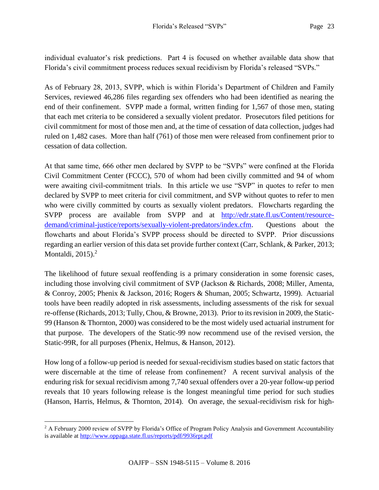individual evaluator's risk predictions. Part 4 is focused on whether available data show that Florida's civil commitment process reduces sexual recidivism by Florida's released "SVPs."

As of February 28, 2013, SVPP, which is within Florida's Department of Children and Family Services, reviewed 46,286 files regarding sex offenders who had been identified as nearing the end of their confinement. SVPP made a formal, written finding for 1,567 of those men, stating that each met criteria to be considered a sexually violent predator. Prosecutors filed petitions for civil commitment for most of those men and, at the time of cessation of data collection, judges had ruled on 1,482 cases. More than half (761) of those men were released from confinement prior to cessation of data collection.

At that same time, 666 other men declared by SVPP to be "SVPs" were confined at the Florida Civil Commitment Center (FCCC), 570 of whom had been civilly committed and 94 of whom were awaiting civil-commitment trials. In this article we use "SVP" in quotes to refer to men declared by SVPP to meet criteria for civil commitment, and SVP without quotes to refer to men who were civilly committed by courts as sexually violent predators. Flowcharts regarding the SVPP process are available from SVPP and at [http://edr.state.fl.us/Content/resource](http://edr.state.fl.us/Content/resource-demand/criminal-justice/reports/sexually-violent-predators/index.cfm)[demand/criminal-justice/reports/sexually-violent-predators/index.cfm.](http://edr.state.fl.us/Content/resource-demand/criminal-justice/reports/sexually-violent-predators/index.cfm) Questions about the flowcharts and about Florida's SVPP process should be directed to SVPP. Prior discussions regarding an earlier version of this data set provide further context (Carr, Schlank, & Parker, 2013; Montaldi,  $2015$ ).<sup>2</sup>

The likelihood of future sexual reoffending is a primary consideration in some forensic cases, including those involving civil commitment of SVP (Jackson & Richards, 2008; Miller, Amenta, & Conroy, 2005; Phenix & Jackson, 2016; Rogers & Shuman, 2005; Schwartz, 1999). Actuarial tools have been readily adopted in risk assessments, including assessments of the risk for sexual re-offense (Richards, 2013; Tully, Chou, & Browne, 2013). Prior to its revision in 2009, the Static-99 (Hanson & Thornton, 2000) was considered to be the most widely used actuarial instrument for that purpose. The developers of the Static-99 now recommend use of the revised version, the Static-99R, for all purposes (Phenix, Helmus, & Hanson, 2012).

How long of a follow-up period is needed for sexual-recidivism studies based on static factors that were discernable at the time of release from confinement? A recent survival analysis of the enduring risk for sexual recidivism among 7,740 sexual offenders over a 20-year follow-up period reveals that 10 years following release is the longest meaningful time period for such studies (Hanson, Harris, Helmus, & Thornton, 2014). On average, the sexual-recidivism risk for high-

 $\overline{a}$ <sup>2</sup> A February 2000 review of SVPP by Florida's Office of Program Policy Analysis and Government Accountability is available at<http://www.oppaga.state.fl.us/reports/pdf/9936rpt.pdf>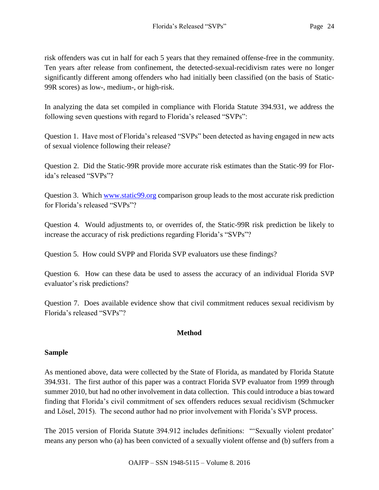risk offenders was cut in half for each 5 years that they remained offense-free in the community. Ten years after release from confinement, the detected-sexual-recidivism rates were no longer significantly different among offenders who had initially been classified (on the basis of Static-99R scores) as low-, medium-, or high-risk.

In analyzing the data set compiled in compliance with Florida Statute 394.931, we address the following seven questions with regard to Florida's released "SVPs":

Question 1. Have most of Florida's released "SVPs" been detected as having engaged in new acts of sexual violence following their release?

Question 2. Did the Static-99R provide more accurate risk estimates than the Static-99 for Florida's released "SVPs"?

Question 3. Which [www.static99.org](http://www.static99.org/) comparison group leads to the most accurate risk prediction for Florida's released "SVPs"?

Question 4. Would adjustments to, or overrides of, the Static-99R risk prediction be likely to increase the accuracy of risk predictions regarding Florida's "SVPs"?

Question 5. How could SVPP and Florida SVP evaluators use these findings?

Question 6. How can these data be used to assess the accuracy of an individual Florida SVP evaluator's risk predictions?

Question 7. Does available evidence show that civil commitment reduces sexual recidivism by Florida's released "SVPs"?

# **Method**

### **Sample**

As mentioned above, data were collected by the State of Florida, as mandated by Florida Statute 394.931. The first author of this paper was a contract Florida SVP evaluator from 1999 through summer 2010, but had no other involvement in data collection. This could introduce a bias toward finding that Florida's civil commitment of sex offenders reduces sexual recidivism (Schmucker and Lösel, 2015). The second author had no prior involvement with Florida's SVP process.

The 2015 version of Florida Statute 394.912 includes definitions: "'Sexually violent predator' means any person who (a) has been convicted of a sexually violent offense and (b) suffers from a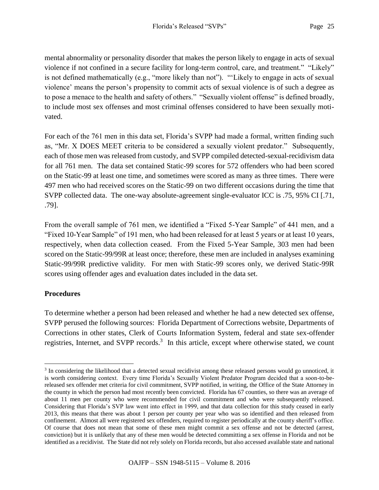mental abnormality or personality disorder that makes the person likely to engage in acts of sexual violence if not confined in a secure facility for long-term control, care, and treatment." "Likely" is not defined mathematically (e.g., "more likely than not"). "'Likely to engage in acts of sexual violence' means the person's propensity to commit acts of sexual violence is of such a degree as to pose a menace to the health and safety of others." "Sexually violent offense" is defined broadly, to include most sex offenses and most criminal offenses considered to have been sexually motivated.

For each of the 761 men in this data set, Florida's SVPP had made a formal, written finding such as, "Mr. X DOES MEET criteria to be considered a sexually violent predator." Subsequently, each of those men was released from custody, and SVPP compiled detected-sexual-recidivism data for all 761 men. The data set contained Static-99 scores for 572 offenders who had been scored on the Static-99 at least one time, and sometimes were scored as many as three times. There were 497 men who had received scores on the Static-99 on two different occasions during the time that SVPP collected data. The one-way absolute-agreement single-evaluator ICC is .75, 95% CI [.71, .79].

From the overall sample of 761 men, we identified a "Fixed 5-Year Sample" of 441 men, and a "Fixed 10-Year Sample" of 191 men, who had been released for at least 5 years or at least 10 years, respectively, when data collection ceased. From the Fixed 5-Year Sample, 303 men had been scored on the Static-99/99R at least once; therefore, these men are included in analyses examining Static-99/99R predictive validity. For men with Static-99 scores only, we derived Static-99R scores using offender ages and evaluation dates included in the data set.

### **Procedures**

 $\overline{a}$ 

To determine whether a person had been released and whether he had a new detected sex offense, SVPP perused the following sources: Florida Department of Corrections website, Departments of Corrections in other states, Clerk of Courts Information System, federal and state sex-offender registries, Internet, and SVPP records.<sup>3</sup> In this article, except where otherwise stated, we count

<sup>&</sup>lt;sup>3</sup> In considering the likelihood that a detected sexual recidivist among these released persons would go unnoticed, it is worth considering context. Every time Florida's Sexually Violent Predator Program decided that a soon-to-bereleased sex offender met criteria for civil commitment, SVPP notified, in writing, the Office of the State Attorney in the county in which the person had most recently been convicted. Florida has 67 counties, so there was an average of about 11 men per county who were recommended for civil commitment and who were subsequently released. Considering that Florida's SVP law went into effect in 1999, and that data collection for this study ceased in early 2013, this means that there was about 1 person per county per year who was so identified and then released from confinement. Almost all were registered sex offenders, required to register periodically at the county sheriff's office. Of course that does not mean that some of these men might commit a sex offense and not be detected (arrest, conviction) but it is unlikely that any of these men would be detected committing a sex offense in Florida and not be identified as a recidivist. The State did not rely solely on Florida records, but also accessed available state and national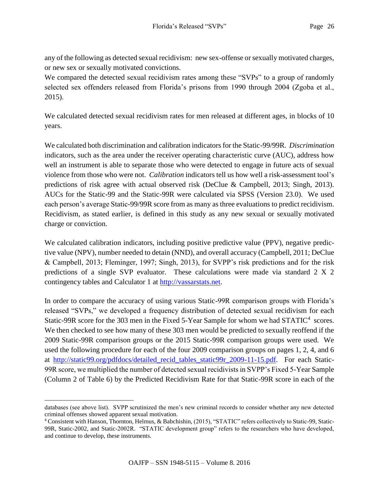any of the following as detected sexual recidivism: new sex-offense or sexually motivated charges, or new sex or sexually motivated convictions.

We compared the detected sexual recidivism rates among these "SVPs" to a group of randomly selected sex offenders released from Florida's prisons from 1990 through 2004 (Zgoba et al., 2015).

We calculated detected sexual recidivism rates for men released at different ages, in blocks of 10 years.

We calculated both discrimination and calibration indicators for the Static-99/99R. *Discrimination* indicators, such as the area under the receiver operating characteristic curve (AUC), address how well an instrument is able to separate those who were detected to engage in future acts of sexual violence from those who were not. *Calibration* indicators tell us how well a risk-assessment tool's predictions of risk agree with actual observed risk (DeClue & Campbell, 2013; Singh, 2013). AUCs for the Static-99 and the Static-99R were calculated via SPSS (Version 23.0). We used each person's average Static-99/99R score from as many as three evaluations to predict recidivism. Recidivism, as stated earlier, is defined in this study as any new sexual or sexually motivated charge or conviction.

We calculated calibration indicators, including positive predictive value (PPV), negative predictive value (NPV), number needed to detain (NND), and overall accuracy (Campbell, 2011; DeClue & Campbell, 2013; Fleminger, 1997; Singh, 2013), for SVPP's risk predictions and for the risk predictions of a single SVP evaluator. These calculations were made via standard 2 X 2 contingency tables and Calculator 1 at [http://vassarstats.net.](http://vassarstats.net/)

In order to compare the accuracy of using various Static-99R comparison groups with Florida's released "SVPs," we developed a frequency distribution of detected sexual recidivism for each Static-99R score for the 303 men in the Fixed 5-Year Sample for whom we had  $STATIC<sup>4</sup>$  scores. We then checked to see how many of these 303 men would be predicted to sexually reoffend if the 2009 Static-99R comparison groups or the 2015 Static-99R comparison groups were used. We used the following procedure for each of the four 2009 comparison groups on pages 1, 2, 4, and 6 at [http://static99.org/pdfdocs/detailed\\_recid\\_tables\\_static99r\\_2009-11-15.pdf.](http://static99.org/pdfdocs/detailed_recid_tables_static99r_2009-11-15.pdf) For each Static-99R score, we multiplied the number of detected sexual recidivists in SVPP's Fixed 5-Year Sample (Column 2 of Table 6) by the Predicted Recidivism Rate for that Static-99R score in each of the

 $\overline{a}$ databases (see above list). SVPP scrutinized the men's new criminal records to consider whether any new detected criminal offenses showed apparent sexual motivation.

<sup>4</sup> Consistent with Hanson, Thornton, Helmus, & Babchishin, (2015), "STATIC" refers collectively to Static-99, Static-99R, Static-2002, and Static-2002R. "STATIC development group" refers to the researchers who have developed, and continue to develop, these instruments.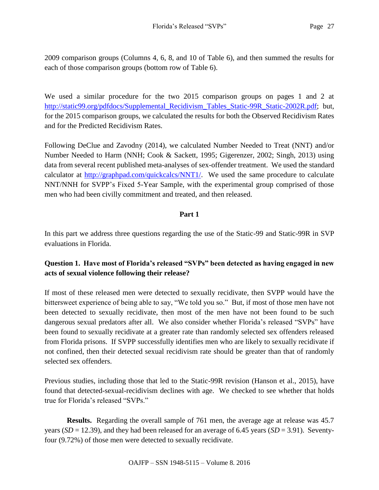2009 comparison groups (Columns 4, 6, 8, and 10 of Table 6), and then summed the results for each of those comparison groups (bottom row of Table 6).

We used a similar procedure for the two 2015 comparison groups on pages 1 and 2 at [http://static99.org/pdfdocs/Supplemental\\_Recidivism\\_Tables\\_Static-99R\\_Static-2002R.pdf;](http://static99.org/pdfdocs/Supplemental_Recidivism_Tables_Static-99R_Static-2002R.pdf) but, for the 2015 comparison groups, we calculated the results for both the Observed Recidivism Rates and for the Predicted Recidivism Rates.

Following DeClue and Zavodny (2014), we calculated Number Needed to Treat (NNT) and/or Number Needed to Harm (NNH; Cook & Sackett, 1995; Gigerenzer, 2002; Singh, 2013) using data from several recent published meta-analyses of sex-offender treatment. We used the standard calculator at [http://graphpad.com/quickcalcs/NNT1/.](http://graphpad.com/quickcalcs/NNT1/) We used the same procedure to calculate NNT/NNH for SVPP's Fixed 5-Year Sample, with the experimental group comprised of those men who had been civilly commitment and treated, and then released.

# **Part 1**

In this part we address three questions regarding the use of the Static-99 and Static-99R in SVP evaluations in Florida.

# **Question 1. Have most of Florida's released "SVPs" been detected as having engaged in new acts of sexual violence following their release?**

If most of these released men were detected to sexually recidivate, then SVPP would have the bittersweet experience of being able to say, "We told you so." But, if most of those men have not been detected to sexually recidivate, then most of the men have not been found to be such dangerous sexual predators after all. We also consider whether Florida's released "SVPs" have been found to sexually recidivate at a greater rate than randomly selected sex offenders released from Florida prisons. If SVPP successfully identifies men who are likely to sexually recidivate if not confined, then their detected sexual recidivism rate should be greater than that of randomly selected sex offenders.

Previous studies, including those that led to the Static-99R revision (Hanson et al., 2015), have found that detected-sexual-recidivism declines with age. We checked to see whether that holds true for Florida's released "SVPs."

**Results.** Regarding the overall sample of 761 men, the average age at release was 45.7 years (*SD* = 12.39), and they had been released for an average of 6.45 years (*SD* = 3.91). Seventyfour (9.72%) of those men were detected to sexually recidivate.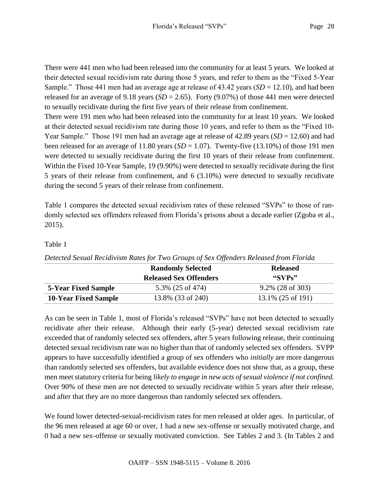There were 441 men who had been released into the community for at least 5 years. We looked at their detected sexual recidivism rate during those 5 years, and refer to them as the "Fixed 5-Year Sample." Those 441 men had an average age at release of 43.42 years (*SD* = 12.10), and had been released for an average of 9.18 years  $(SD = 2.65)$ . Forty (9.07%) of those 441 men were detected to sexually recidivate during the first five years of their release from confinement.

There were 191 men who had been released into the community for at least 10 years. We looked at their detected sexual recidivism rate during those 10 years, and refer to them as the "Fixed 10- Year Sample." Those 191 men had an average age at release of 42.89 years (*SD* = 12.60) and had been released for an average of 11.80 years  $(SD = 1.07)$ . Twenty-five  $(13.10\%)$  of those 191 men were detected to sexually recidivate during the first 10 years of their release from confinement. Within the Fixed 10-Year Sample, 19 (9.90%) were detected to sexually recidivate during the first 5 years of their release from confinement, and 6 (3.10%) were detected to sexually recidivate during the second 5 years of their release from confinement.

Table 1 compares the detected sexual recidivism rates of these released "SVPs" to those of randomly selected sex offenders released from Florida's prisons about a decade earlier (Zgoba et al., 2015).

# Table 1

|                             | Detected Sexual Rectativishi Kates for 1 wo Groups of Sex Offenders Reteased from 1 torial<br><b>Randomly Selected</b> | <b>Released</b>                                                                                                                                                                                                                                                                                                     |
|-----------------------------|------------------------------------------------------------------------------------------------------------------------|---------------------------------------------------------------------------------------------------------------------------------------------------------------------------------------------------------------------------------------------------------------------------------------------------------------------|
|                             | <b>Released Sex Offenders</b>                                                                                          | $\frac{1}{2}$ $\frac{1}{2}$ $\frac{1}{2}$ $\frac{1}{2}$ $\frac{1}{2}$ $\frac{1}{2}$ $\frac{1}{2}$ $\frac{1}{2}$ $\frac{1}{2}$ $\frac{1}{2}$ $\frac{1}{2}$ $\frac{1}{2}$ $\frac{1}{2}$ $\frac{1}{2}$ $\frac{1}{2}$ $\frac{1}{2}$ $\frac{1}{2}$ $\frac{1}{2}$ $\frac{1}{2}$ $\frac{1}{2}$ $\frac{1}{2}$ $\frac{1}{2}$ |
| <b>5-Year Fixed Sample</b>  | 5.3% (25 of 474)                                                                                                       | $9.2\%$ (28 of 303)                                                                                                                                                                                                                                                                                                 |
| <b>10-Year Fixed Sample</b> | 13.8% (33 of 240)                                                                                                      | $13.1\%$ (25 of 191)                                                                                                                                                                                                                                                                                                |

*Detected Sexual Recidivism Rates for Two Groups of Sex Offenders Released from Florida*

As can be seen in Table 1, most of Florida's released "SVPs" have not been detected to sexually recidivate after their release. Although their early (5-year) detected sexual recidivism rate exceeded that of randomly selected sex offenders, after 5 years following release, their continuing detected sexual recidivism rate was no higher than that of randomly selected sex offenders. SVPP appears to have successfully identified a group of sex offenders who *initially* are more dangerous than randomly selected sex offenders, but available evidence does not show that, as a group, these men meet statutory criteria for being *likely to engage in new acts of sexual violence if not confined.* Over 90% of these men are not detected to sexually recidivate within 5 years after their release, and after that they are no more dangerous than randomly selected sex offenders.

We found lower detected-sexual-recidivism rates for men released at older ages. In particular, of the 96 men released at age 60 or over, 1 had a new sex-offense or sexually motivated charge, and 0 had a new sex-offense or sexually motivated conviction. See Tables 2 and 3. (In Tables 2 and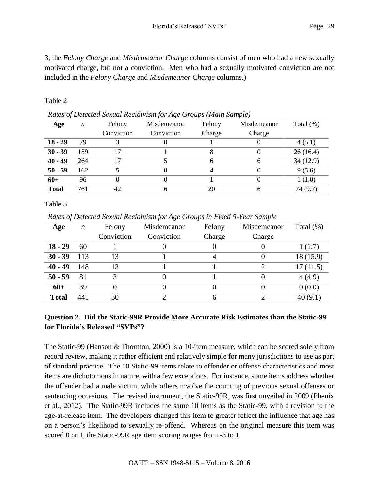3, the *Felony Charge* and *Misdemeanor Charge* columns consist of men who had a new sexually motivated charge, but not a conviction. Men who had a sexually motivated conviction are not included in the *Felony Charge* and *Misdemeanor Charge* columns.)

### Table 2

| Runes of Benenda Sexual Rectam ishi for 11xv Sroups (main Sumple) |     |            |             |        |             |              |  |  |  |
|-------------------------------------------------------------------|-----|------------|-------------|--------|-------------|--------------|--|--|--|
| Age                                                               | n   | Felony     | Misdemeanor | Felony | Misdemeanor | Total $(\%)$ |  |  |  |
|                                                                   |     | Conviction | Conviction  | Charge | Charge      |              |  |  |  |
| $18 - 29$                                                         | 79  |            |             |        |             | 4(5.1)       |  |  |  |
| $30 - 39$                                                         | 159 | 17         |             |        |             | 26(16.4)     |  |  |  |
| $40 - 49$                                                         | 264 | 17         |             | 6      | 6           | 34(12.9)     |  |  |  |
| $50 - 59$                                                         | 162 |            |             |        |             | 9(5.6)       |  |  |  |
| $60+$                                                             | 96  |            |             |        |             | 1(1.0)       |  |  |  |
| <b>Total</b>                                                      | 761 | 42         |             | 20     | 6           | 74 (9.7)     |  |  |  |

*Rates of Detected Sexual Recidivism for Age Groups (Main Sample)*

Table 3

*Rates of Detected Sexual Recidivism for Age Groups in Fixed 5-Year Sample*

| Age          | $\boldsymbol{n}$ | Felony     | Misdemeanor | Felony | Misdemeanor | Total $(\%)$ |
|--------------|------------------|------------|-------------|--------|-------------|--------------|
|              |                  | Conviction | Conviction  | Charge | Charge      |              |
| $18 - 29$    | 60               |            |             |        |             | 1(1.7)       |
| $30 - 39$    | 113              | 13         |             | 4      |             | 18(15.9)     |
| $40 - 49$    | 148              | 13         |             |        |             | 17(11.5)     |
| $50 - 59$    | 81               | 3          |             |        |             | 4(4.9)       |
| $60+$        | 39               |            |             |        |             | 0(0.0)       |
| <b>Total</b> | 441              | 30         |             | 6      |             | 40(9.1)      |

# **Question 2. Did the Static-99R Provide More Accurate Risk Estimates than the Static-99 for Florida's Released "SVPs"?**

The Static-99 (Hanson & Thornton, 2000) is a 10-item measure, which can be scored solely from record review, making it rather efficient and relatively simple for many jurisdictions to use as part of standard practice. The 10 Static-99 items relate to offender or offense characteristics and most items are dichotomous in nature, with a few exceptions. For instance, some items address whether the offender had a male victim, while others involve the counting of previous sexual offenses or sentencing occasions. The revised instrument, the Static-99R, was first unveiled in 2009 (Phenix et al., 2012). The Static-99R includes the same 10 items as the Static-99, with a revision to the age-at-release item. The developers changed this item to greater reflect the influence that age has on a person's likelihood to sexually re-offend. Whereas on the original measure this item was scored 0 or 1, the Static-99R age item scoring ranges from -3 to 1.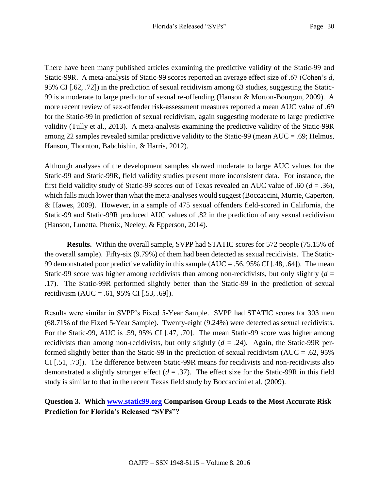There have been many published articles examining the predictive validity of the Static-99 and Static-99R. A meta-analysis of Static-99 scores reported an average effect size of .67 (Cohen's *d*, 95% CI [.62, .72]) in the prediction of sexual recidivism among 63 studies, suggesting the Static-99 is a moderate to large predictor of sexual re-offending (Hanson & Morton-Bourgon, 2009). A more recent review of sex-offender risk-assessment measures reported a mean AUC value of .69 for the Static-99 in prediction of sexual recidivism, again suggesting moderate to large predictive validity (Tully et al., 2013). A meta-analysis examining the predictive validity of the Static-99R among 22 samples revealed similar predictive validity to the Static-99 (mean AUC = .69; Helmus, Hanson, Thornton, Babchishin, & Harris, 2012).

Although analyses of the development samples showed moderate to large AUC values for the Static-99 and Static-99R, field validity studies present more inconsistent data. For instance, the first field validity study of Static-99 scores out of Texas revealed an AUC value of .60 (*d* = .36), which falls much lower than what the meta-analyses would suggest (Boccaccini, Murrie, Caperton, & Hawes, 2009). However, in a sample of 475 sexual offenders field-scored in California, the Static-99 and Static-99R produced AUC values of .82 in the prediction of any sexual recidivism (Hanson, Lunetta, Phenix, Neeley, & Epperson, 2014).

**Results.** Within the overall sample, SVPP had STATIC scores for 572 people (75.15% of the overall sample). Fifty-six (9.79%) of them had been detected as sexual recidivists. The Static-99 demonstrated poor predictive validity in this sample (AUC = .56, 95% CI [.48, .64]). The mean Static-99 score was higher among recidivists than among non-recidivists, but only slightly  $(d =$ .17). The Static-99R performed slightly better than the Static-99 in the prediction of sexual recidivism  $(AUC = .61, 95\% \text{ CI}$  [.53, .69]).

Results were similar in SVPP's Fixed 5-Year Sample. SVPP had STATIC scores for 303 men (68.71% of the Fixed 5-Year Sample). Twenty-eight (9.24%) were detected as sexual recidivists. For the Static-99, AUC is .59, 95% CI [.47, .70]. The mean Static-99 score was higher among recidivists than among non-recidivists, but only slightly (*d* = .24). Again, the Static-99R performed slightly better than the Static-99 in the prediction of sexual recidivism (AUC = .62, 95% CI [.51, .73]). The difference between Static-99R means for recidivists and non-recidivists also demonstrated a slightly stronger effect  $(d = .37)$ . The effect size for the Static-99R in this field study is similar to that in the recent Texas field study by Boccaccini et al. (2009).

# **Question 3. Which [www.static99.org](http://www.static99.org/) Comparison Group Leads to the Most Accurate Risk Prediction for Florida's Released "SVPs"?**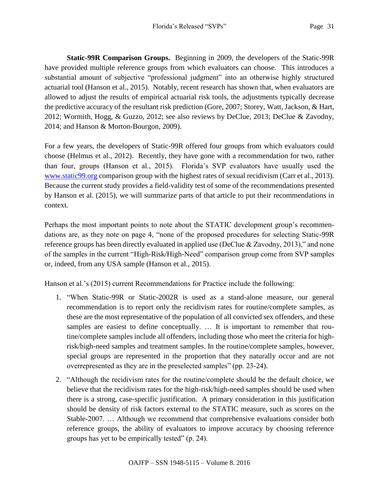**Static-99R Comparison Groups.** Beginning in 2009, the developers of the Static-99R have provided multiple reference groups from which evaluators can choose. This introduces a substantial amount of subjective "professional judgment" into an otherwise highly structured actuarial tool (Hanson et al., 2015). Notably, recent research has shown that, when evaluators are allowed to adjust the results of empirical actuarial risk tools, the adjustments typically decrease the predictive accuracy of the resultant risk prediction (Gore, 2007; Storey, Watt, Jackson, & Hart, 2012; Wormith, Hogg, & Guzzo, 2012; see also reviews by DeClue, 2013; DeClue & Zavodny, 2014; and Hanson & Morton-Bourgon, 2009).

For a few years, the developers of Static-99R offered four groups from which evaluators could choose (Helmus et al., 2012). Recently, they have gone with a recommendation for two, rather than four, groups (Hanson et al., 2015). Florida's SVP evaluators have usually used the [www.static99.org](http://www.static99.org/) comparison group with the highest rates of sexual recidivism (Carr et al., 2013). Because the current study provides a field-validity test of some of the recommendations presented by Hanson et al. (2015), we will summarize parts of that article to put their recommendations in context.

Perhaps the most important points to note about the STATIC development group's recommendations are, as they note on page 4, "none of the proposed procedures for selecting Static-99R reference groups has been directly evaluated in applied use (DeClue & Zavodny, 2013)," and none of the samples in the current "High-Risk/High-Need" comparison group come from SVP samples or, indeed, from any USA sample (Hanson et al., 2015).

Hanson et al.'s (2015) current Recommendations for Practice include the following:

- 1. "When Static-99R or Static-2002R is used as a stand-alone measure, our general recommendation is to report only the recidivism rates for routine/complete samples, as these are the most representative of the population of all convicted sex offenders, and these samples are easiest to define conceptually. … It is important to remember that routine/complete samples include all offenders, including those who meet the criteria for highrisk/high-need samples and treatment samples. In the routine/complete samples, however, special groups are represented in the proportion that they naturally occur and are not overrepresented as they are in the preselected samples" (pp. 23-24).
- 2. "Although the recidivism rates for the routine/complete should be the default choice, we believe that the recidivism rates for the high-risk/high-need samples should be used when there is a strong, case-specific justification. A primary consideration in this justification should be density of risk factors external to the STATIC measure, such as scores on the Stable-2007. … Although we recommend that comprehensive evaluations consider both reference groups, the ability of evaluators to improve accuracy by choosing reference groups has yet to be empirically tested" (p. 24).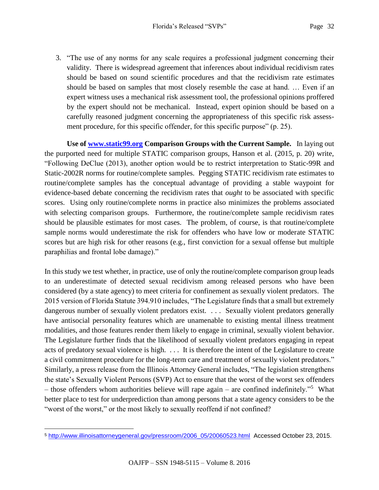3. "The use of any norms for any scale requires a professional judgment concerning their validity. There is widespread agreement that inferences about individual recidivism rates should be based on sound scientific procedures and that the recidivism rate estimates should be based on samples that most closely resemble the case at hand. … Even if an expert witness uses a mechanical risk assessment tool, the professional opinions proffered by the expert should not be mechanical. Instead, expert opinion should be based on a carefully reasoned judgment concerning the appropriateness of this specific risk assessment procedure, for this specific offender, for this specific purpose" (p. 25).

**Use of [www.static99.org](http://www.static99.org/) Comparison Groups with the Current Sample.** In laying out the purported need for multiple STATIC comparison groups, Hanson et al. (2015, p. 20) write, "Following DeClue (2013), another option would be to restrict interpretation to Static-99R and Static-2002R norms for routine/complete samples. Pegging STATIC recidivism rate estimates to routine/complete samples has the conceptual advantage of providing a stable waypoint for evidence-based debate concerning the recidivism rates that *ought* to be associated with specific scores. Using only routine/complete norms in practice also minimizes the problems associated with selecting comparison groups. Furthermore, the routine/complete sample recidivism rates should be plausible estimates for most cases. The problem, of course, is that routine/complete sample norms would underestimate the risk for offenders who have low or moderate STATIC scores but are high risk for other reasons (e.g., first conviction for a sexual offense but multiple paraphilias and frontal lobe damage)."

In this study we test whether, in practice, use of only the routine/complete comparison group leads to an underestimate of detected sexual recidivism among released persons who have been considered (by a state agency) to meet criteria for confinement as sexually violent predators. The 2015 version of Florida Statute 394.910 includes, "The Legislature finds that a small but extremely dangerous number of sexually violent predators exist. . . . Sexually violent predators generally have antisocial personality features which are unamenable to existing mental illness treatment modalities, and those features render them likely to engage in criminal, sexually violent behavior. The Legislature further finds that the likelihood of sexually violent predators engaging in repeat acts of predatory sexual violence is high. . . . It is therefore the intent of the Legislature to create a civil commitment procedure for the long-term care and treatment of sexually violent predators." Similarly, a press release from the Illinois Attorney General includes, "The legislation strengthens the state's Sexually Violent Persons (SVP) Act to ensure that the worst of the worst sex offenders – those offenders whom authorities believe will rape again – are confined indefinitely."<sup>5</sup> What better place to test for underprediction than among persons that a state agency considers to be the "worst of the worst," or the most likely to sexually reoffend if not confined?

 $\overline{a}$ <sup>5</sup> [http://www.illinoisattorneygeneral.gov/pressroom/2006\\_05/20060523.html](http://www.illinoisattorneygeneral.gov/pressroom/2006_05/20060523.html) Accessed October 23, 2015.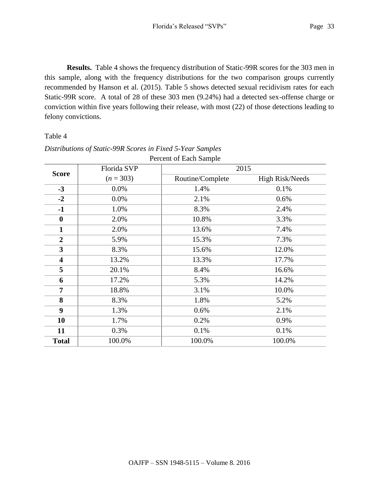**Results.** Table 4 shows the frequency distribution of Static-99R scores for the 303 men in this sample, along with the frequency distributions for the two comparison groups currently recommended by Hanson et al. (2015). Table 5 shows detected sexual recidivism rates for each Static-99R score. A total of 28 of these 303 men (9.24%) had a detected sex-offense charge or conviction within five years following their release, with most (22) of those detections leading to felony convictions.

#### Table 4

|                         |             | <b>FULCIII OI LAUI SAIIPIU</b> |                        |
|-------------------------|-------------|--------------------------------|------------------------|
| <b>Score</b>            | Florida SVP |                                | 2015                   |
|                         | $(n = 303)$ | Routine/Complete               | <b>High Risk/Needs</b> |
| $-3$                    | 0.0%        | 1.4%                           | 0.1%                   |
| $-2$                    | 0.0%        | 2.1%                           | 0.6%                   |
| $-1$                    | 1.0%        | 8.3%                           | 2.4%                   |
| $\boldsymbol{0}$        | 2.0%        | 10.8%                          | 3.3%                   |
| $\mathbf{1}$            | 2.0%        | 13.6%                          | 7.4%                   |
| $\overline{2}$          | 5.9%        | 15.3%                          | 7.3%                   |
| 3                       | 8.3%        | 15.6%                          | 12.0%                  |
| $\overline{\mathbf{4}}$ | 13.2%       | 13.3%                          | 17.7%                  |
| 5                       | 20.1%       | 8.4%                           | 16.6%                  |
| 6                       | 17.2%       | 5.3%                           | 14.2%                  |
| $\overline{7}$          | 18.8%       | 3.1%                           | 10.0%                  |
| 8                       | 8.3%        | 1.8%                           | 5.2%                   |
| 9                       | 1.3%        | 0.6%                           | 2.1%                   |
| 10                      | 1.7%        | 0.2%                           | 0.9%                   |
| 11                      | 0.3%        | 0.1%                           | 0.1%                   |
| <b>Total</b>            | 100.0%      | 100.0%                         | 100.0%                 |

#### *Distributions of Static-99R Scores in Fixed 5-Year Samples* Percent of Each Sample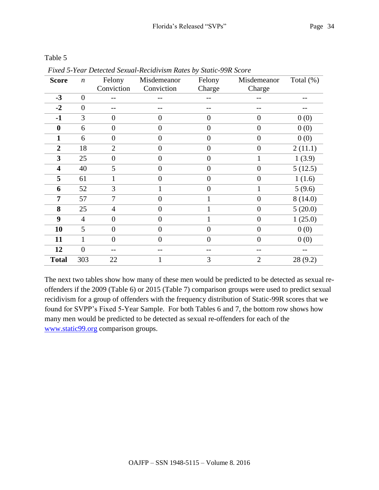| <b>Score</b>   | $\boldsymbol{n}$ | Felony         | Misdemeanor      | Felony           | Misdemeanor      | Total $(\%)$ |
|----------------|------------------|----------------|------------------|------------------|------------------|--------------|
|                |                  | Conviction     | Conviction       | Charge           | Charge           |              |
| $-3$           | $\boldsymbol{0}$ |                |                  |                  |                  |              |
| $-2$           | $\overline{0}$   |                |                  |                  |                  |              |
| $-1$           | 3                | $\overline{0}$ | $\overline{0}$   | $\overline{0}$   | $\overline{0}$   | 0(0)         |
| $\bf{0}$       | 6                | $\overline{0}$ | $\overline{0}$   | $\overline{0}$   | $\overline{0}$   | 0(0)         |
| $\mathbf{1}$   | 6                | $\overline{0}$ | $\overline{0}$   | $\overline{0}$   | $\overline{0}$   | 0(0)         |
| $\overline{2}$ | 18               | $\overline{2}$ | $\overline{0}$   | $\boldsymbol{0}$ | $\boldsymbol{0}$ | 2(11.1)      |
| 3              | 25               | $\theta$       | $\boldsymbol{0}$ | $\boldsymbol{0}$ | 1                | 1(3.9)       |
| 4              | 40               | 5              | $\boldsymbol{0}$ | $\boldsymbol{0}$ | $\boldsymbol{0}$ | 5(12.5)      |
| 5              | 61               | 1              | $\boldsymbol{0}$ | $\boldsymbol{0}$ | $\boldsymbol{0}$ | 1(1.6)       |
| 6              | 52               | 3              |                  | $\boldsymbol{0}$ | $\mathbf{1}$     | 5(9.6)       |
| 7              | 57               | 7              | $\overline{0}$   |                  | $\overline{0}$   | 8(14.0)      |
| 8              | 25               | $\overline{4}$ | $\overline{0}$   | 1                | $\overline{0}$   | 5(20.0)      |
| 9              | $\overline{4}$   | $\overline{0}$ | 0                |                  | $\overline{0}$   | 1(25.0)      |
| 10             | 5                | $\overline{0}$ | $\theta$         | $\overline{0}$   | $\overline{0}$   | 0(0)         |
| 11             | 1                | $\overline{0}$ | $\theta$         | $\overline{0}$   | $\theta$         | 0(0)         |
| 12             | $\overline{0}$   |                |                  |                  |                  |              |
| <b>Total</b>   | 303              | 22             |                  | 3                | $\overline{2}$   | 28 (9.2)     |

Table 5

*Fixed 5-Year Detected Sexual-Recidivism Rates by Static-99R Score*

The next two tables show how many of these men would be predicted to be detected as sexual reoffenders if the 2009 (Table 6) or 2015 (Table 7) comparison groups were used to predict sexual recidivism for a group of offenders with the frequency distribution of Static-99R scores that we found for SVPP's Fixed 5-Year Sample. For both Tables 6 and 7, the bottom row shows how many men would be predicted to be detected as sexual re-offenders for each of the [www.static99.org](http://www.static99.org/) comparison groups.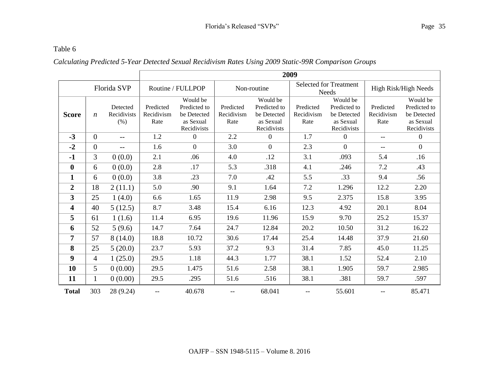### Table 6

# *Calculating Predicted 5-Year Detected Sexual Recidivism Rates Using 2009 Static-99R Comparison Groups*

|                         |                  |                         | 2009                    |                             |                         |                             |                         |                                        |                         |                             |
|-------------------------|------------------|-------------------------|-------------------------|-----------------------------|-------------------------|-----------------------------|-------------------------|----------------------------------------|-------------------------|-----------------------------|
|                         |                  | Florida SVP             |                         | Routine / FULLPOP           |                         | Non-routine                 |                         | <b>Selected for Treatment</b><br>Needs | High Risk/High Needs    |                             |
|                         |                  |                         |                         | Would be                    |                         | Would be                    |                         | Would be                               |                         | Would be                    |
| <b>Score</b>            | $\boldsymbol{n}$ | Detected<br>Recidivists | Predicted<br>Recidivism | Predicted to<br>be Detected | Predicted<br>Recidivism | Predicted to<br>be Detected | Predicted<br>Recidivism | Predicted to<br>be Detected            | Predicted<br>Recidivism | Predicted to<br>be Detected |
|                         |                  | (% )                    | Rate                    | as Sexual<br>Recidivists    | Rate                    | as Sexual<br>Recidivists    | Rate                    | as Sexual<br>Recidivists               | Rate                    | as Sexual<br>Recidivists    |
| $-3$                    | $\theta$         | $-$                     | 1.2                     | $\theta$                    | 2.2                     | $\boldsymbol{0}$            | 1.7                     | $\boldsymbol{0}$                       | $\qquad \qquad -$       | $\overline{0}$              |
| $-2$                    | $\theta$         | $-$                     | 1.6                     | $\overline{0}$              | 3.0                     | $\boldsymbol{0}$            | 2.3                     | $\boldsymbol{0}$                       | $- -$                   | $\mathbf{0}$                |
| $-1$                    | 3                | 0(0.0)                  | 2.1                     | .06                         | 4.0                     | .12                         | 3.1                     | .093                                   | 5.4                     | .16                         |
| $\mathbf 0$             | 6                | 0(0.0)                  | 2.8                     | .17                         | 5.3                     | .318                        | 4.1                     | .246                                   | 7.2                     | .43                         |
| $\mathbf{1}$            | 6                | 0(0.0)                  | 3.8                     | .23                         | 7.0                     | .42                         | 5.5                     | .33                                    | 9.4                     | .56                         |
| $\overline{2}$          | 18               | 2(11.1)                 | 5.0                     | .90                         | 9.1                     | 1.64                        | 7.2                     | 1.296                                  | 12.2                    | 2.20                        |
| $\mathbf{3}$            | 25               | 1(4.0)                  | 6.6                     | 1.65                        | 11.9                    | 2.98                        | 9.5                     | 2.375                                  | 15.8                    | 3.95                        |
| $\overline{\mathbf{4}}$ | 40               | 5(12.5)                 | 8.7                     | 3.48                        | 15.4                    | 6.16                        | 12.3                    | 4.92                                   | 20.1                    | 8.04                        |
| 5                       | 61               | 1(1.6)                  | 11.4                    | 6.95                        | 19.6                    | 11.96                       | 15.9                    | 9.70                                   | 25.2                    | 15.37                       |
| 6                       | 52               | 5(9.6)                  | 14.7                    | 7.64                        | 24.7                    | 12.84                       | 20.2                    | 10.50                                  | 31.2                    | 16.22                       |
| $\overline{7}$          | 57               | 8(14.0)                 | 18.8                    | 10.72                       | 30.6                    | 17.44                       | 25.4                    | 14.48                                  | 37.9                    | 21.60                       |
| 8                       | 25               | 5(20.0)                 | 23.7                    | 5.93                        | 37.2                    | 9.3                         | 31.4                    | 7.85                                   | 45.0                    | 11.25                       |
| 9                       | $\overline{4}$   | 1(25.0)                 | 29.5                    | 1.18                        | 44.3                    | 1.77                        | 38.1                    | 1.52                                   | 52.4                    | 2.10                        |
| 10                      | 5                | 0(0.00)                 | 29.5                    | 1.475                       | 51.6                    | 2.58                        | 38.1                    | 1.905                                  | 59.7                    | 2.985                       |
| 11                      | $\mathbf{1}$     | 0(0.00)                 | 29.5                    | .295                        | 51.6                    | .516                        | 38.1                    | .381                                   | 59.7                    | .597                        |
| <b>Total</b>            | 303              | 28 (9.24)               | --                      | 40.678                      |                         | 68.041                      |                         | 55.601                                 |                         | 85.471                      |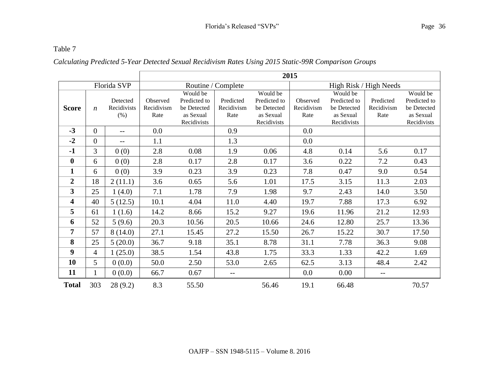### Table 7

# *Calculating Predicted 5-Year Detected Sexual Recidivism Rates Using 2015 Static-99R Comparison Groups*

|                         |                  |                                 | 2015                           |                                                                     |                                 |                                                                     |                                |                                                                     |                                 |                                                                     |
|-------------------------|------------------|---------------------------------|--------------------------------|---------------------------------------------------------------------|---------------------------------|---------------------------------------------------------------------|--------------------------------|---------------------------------------------------------------------|---------------------------------|---------------------------------------------------------------------|
|                         |                  | Florida SVP                     |                                |                                                                     | Routine / Complete              |                                                                     | High Risk / High Needs         |                                                                     |                                 |                                                                     |
| <b>Score</b>            | $\boldsymbol{n}$ | Detected<br>Recidivists<br>(% ) | Observed<br>Recidivism<br>Rate | Would be<br>Predicted to<br>be Detected<br>as Sexual<br>Recidivists | Predicted<br>Recidivism<br>Rate | Would be<br>Predicted to<br>be Detected<br>as Sexual<br>Recidivists | Observed<br>Recidivism<br>Rate | Would be<br>Predicted to<br>be Detected<br>as Sexual<br>Recidivists | Predicted<br>Recidivism<br>Rate | Would be<br>Predicted to<br>be Detected<br>as Sexual<br>Recidivists |
| $-3$                    | $\overline{0}$   | $-$                             | 0.0                            |                                                                     | 0.9                             |                                                                     | 0.0                            |                                                                     |                                 |                                                                     |
| $-2$                    | $\overline{0}$   | $-$                             | 1.1                            |                                                                     | 1.3                             |                                                                     | 0.0                            |                                                                     |                                 |                                                                     |
| $-1$                    | 3                | 0(0)                            | 2.8                            | 0.08                                                                | 1.9                             | 0.06                                                                | 4.8                            | 0.14                                                                | 5.6                             | 0.17                                                                |
| $\bf{0}$                | 6                | 0(0)                            | 2.8                            | 0.17                                                                | 2.8                             | 0.17                                                                | 3.6                            | 0.22                                                                | 7.2                             | 0.43                                                                |
| $\mathbf{1}$            | 6                | 0(0)                            | 3.9                            | 0.23                                                                | 3.9                             | 0.23                                                                | 7.8                            | 0.47                                                                | 9.0                             | 0.54                                                                |
| $\overline{2}$          | 18               | 2(11.1)                         | 3.6                            | 0.65                                                                | 5.6                             | 1.01                                                                | 17.5                           | 3.15                                                                | 11.3                            | 2.03                                                                |
| 3                       | 25               | 1(4.0)                          | 7.1                            | 1.78                                                                | 7.9                             | 1.98                                                                | 9.7                            | 2.43                                                                | 14.0                            | 3.50                                                                |
| $\overline{\mathbf{4}}$ | 40               | 5(12.5)                         | 10.1                           | 4.04                                                                | 11.0                            | 4.40                                                                | 19.7                           | 7.88                                                                | 17.3                            | 6.92                                                                |
| 5                       | 61               | 1(1.6)                          | 14.2                           | 8.66                                                                | 15.2                            | 9.27                                                                | 19.6                           | 11.96                                                               | 21.2                            | 12.93                                                               |
| 6                       | 52               | 5(9.6)                          | 20.3                           | 10.56                                                               | 20.5                            | 10.66                                                               | 24.6                           | 12.80                                                               | 25.7                            | 13.36                                                               |
| 7                       | 57               | 8(14.0)                         | 27.1                           | 15.45                                                               | 27.2                            | 15.50                                                               | 26.7                           | 15.22                                                               | 30.7                            | 17.50                                                               |
| 8                       | 25               | 5(20.0)                         | 36.7                           | 9.18                                                                | 35.1                            | 8.78                                                                | 31.1                           | 7.78                                                                | 36.3                            | 9.08                                                                |
| $\boldsymbol{9}$        | $\overline{4}$   | 1(25.0)                         | 38.5                           | 1.54                                                                | 43.8                            | 1.75                                                                | 33.3                           | 1.33                                                                | 42.2                            | 1.69                                                                |
| 10                      | 5                | 0(0.0)                          | 50.0                           | 2.50                                                                | 53.0                            | 2.65                                                                | 62.5                           | 3.13                                                                | 48.4                            | 2.42                                                                |
| 11                      | 1                | 0(0.0)                          | 66.7                           | 0.67                                                                | $-$                             |                                                                     | 0.0                            | 0.00                                                                | $-$                             |                                                                     |
| <b>Total</b>            | 303              | 28(9.2)                         | 8.3                            | 55.50                                                               |                                 | 56.46                                                               | 19.1                           | 66.48                                                               |                                 | 70.57                                                               |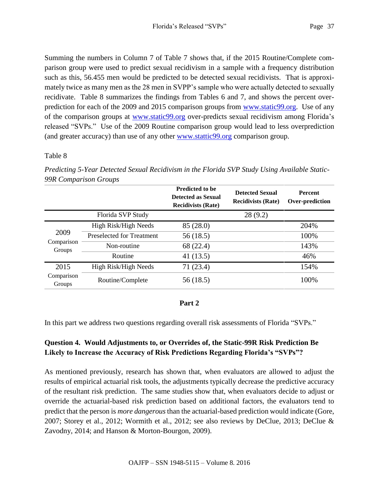Summing the numbers in Column 7 of Table 7 shows that, if the 2015 Routine/Complete comparison group were used to predict sexual recidivism in a sample with a frequency distribution such as this, 56.455 men would be predicted to be detected sexual recidivists. That is approximately twice as many men as the 28 men in SVPP's sample who were actually detected to sexually recidivate. Table 8 summarizes the findings from Tables 6 and 7, and shows the percent overprediction for each of the 2009 and 2015 comparison groups from [www.static99.org.](http://www.static99.org/) Use of any of the comparison groups at [www.static99.org](http://www.static99.org/) over-predicts sexual recidivism among Florida's released "SVPs." Use of the 2009 Routine comparison group would lead to less overprediction (and greater accuracy) than use of any other [www.stattic99.org](http://www.stattic99.org/) comparison group.

# Table 8

|                      |                           | <b>Predicted to be</b><br><b>Detected as Sexual</b><br><b>Recidivists (Rate)</b> | <b>Detected Sexual</b><br><b>Recidivists (Rate)</b> | <b>Percent</b><br>Over-prediction |
|----------------------|---------------------------|----------------------------------------------------------------------------------|-----------------------------------------------------|-----------------------------------|
|                      | Florida SVP Study         |                                                                                  | 28(9.2)                                             |                                   |
| 2009                 | High Risk/High Needs      | 85 (28.0)                                                                        |                                                     | 204%                              |
|                      | Preselected for Treatment | 56 (18.5)                                                                        |                                                     | 100%                              |
| Comparison<br>Groups | Non-routine               | 68 (22.4)                                                                        |                                                     | 143%                              |
|                      | Routine                   | 41 $(13.5)$                                                                      |                                                     | 46%                               |
| 2015                 | High Risk/High Needs      | 71 (23.4)                                                                        |                                                     | 154%                              |
| Comparison<br>Groups | Routine/Complete          | 56 (18.5)                                                                        |                                                     | 100%                              |

*Predicting 5-Year Detected Sexual Recidivism in the Florida SVP Study Using Available Static-99R Comparison Groups*

# **Part 2**

In this part we address two questions regarding overall risk assessments of Florida "SVPs."

# **Question 4. Would Adjustments to, or Overrides of, the Static-99R Risk Prediction Be Likely to Increase the Accuracy of Risk Predictions Regarding Florida's "SVPs"?**

As mentioned previously, research has shown that, when evaluators are allowed to adjust the results of empirical actuarial risk tools, the adjustments typically decrease the predictive accuracy of the resultant risk prediction. The same studies show that, when evaluators decide to adjust or override the actuarial-based risk prediction based on additional factors, the evaluators tend to predict that the person is *more dangerous* than the actuarial-based prediction would indicate (Gore, 2007; Storey et al., 2012; Wormith et al., 2012; see also reviews by DeClue, 2013; DeClue & Zavodny, 2014; and Hanson & Morton-Bourgon, 2009).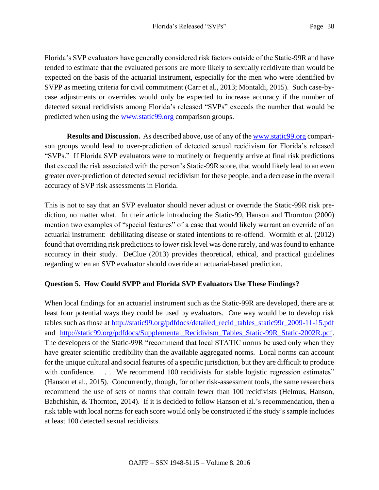Florida's SVP evaluators have generally considered risk factors outside of the Static-99R and have tended to estimate that the evaluated persons are more likely to sexually recidivate than would be expected on the basis of the actuarial instrument, especially for the men who were identified by SVPP as meeting criteria for civil commitment (Carr et al., 2013; Montaldi, 2015). Such case-bycase adjustments or overrides would only be expected to increase accuracy if the number of detected sexual recidivists among Florida's released "SVPs" exceeds the number that would be predicted when using the [www.static99.org](http://www.static99.org/) comparison groups.

**Results and Discussion.** As described above, use of any of the [www.static99.org](http://www.static99.org/) comparison groups would lead to over-prediction of detected sexual recidivism for Florida's released "SVPs." If Florida SVP evaluators were to routinely or frequently arrive at final risk predictions that exceed the risk associated with the person's Static-99R score, that would likely lead to an even greater over-prediction of detected sexual recidivism for these people, and a decrease in the overall accuracy of SVP risk assessments in Florida.

This is not to say that an SVP evaluator should never adjust or override the Static-99R risk prediction, no matter what. In their article introducing the Static-99, Hanson and Thornton (2000) mention two examples of "special features" of a case that would likely warrant an override of an actuarial instrument: debilitating disease or stated intentions to re-offend. Wormith et al. (2012) found that overriding risk predictions to *lower* risk level was done rarely, and was found to enhance accuracy in their study. DeClue (2013) provides theoretical, ethical, and practical guidelines regarding when an SVP evaluator should override an actuarial-based prediction.

### **Question 5. How Could SVPP and Florida SVP Evaluators Use These Findings?**

When local findings for an actuarial instrument such as the Static-99R are developed, there are at least four potential ways they could be used by evaluators. One way would be to develop risk tables such as those at [http://static99.org/pdfdocs/detailed\\_recid\\_tables\\_static99r\\_2009-11-15.pdf](http://static99.org/pdfdocs/detailed_recid_tables_static99r_2009-11-15.pdf) and [http://static99.org/pdfdocs/Supplemental\\_Recidivism\\_Tables\\_Static-99R\\_Static-2002R.pdf.](http://static99.org/pdfdocs/Supplemental_Recidivism_Tables_Static-99R_Static-2002R.pdf) The developers of the Static-99R "recommend that local STATIC norms be used only when they have greater scientific credibility than the available aggregated norms. Local norms can account for the unique cultural and social features of a specific jurisdiction, but they are difficult to produce with confidence. ... We recommend 100 recidivists for stable logistic regression estimates" (Hanson et al., 2015). Concurrently, though, for other risk-assessment tools, the same researchers recommend the use of sets of norms that contain fewer than 100 recidivists (Helmus, Hanson, Babchishin, & Thornton, 2014). If it is decided to follow Hanson et al.'s recommendation, then a risk table with local norms for each score would only be constructed if the study's sample includes at least 100 detected sexual recidivists.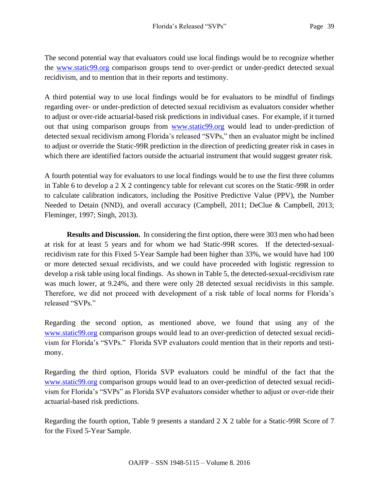The second potential way that evaluators could use local findings would be to recognize whether the [www.static99.org](http://www.static99.org/) comparison groups tend to over-predict or under-predict detected sexual recidivism, and to mention that in their reports and testimony.

A third potential way to use local findings would be for evaluators to be mindful of findings regarding over- or under-prediction of detected sexual recidivism as evaluators consider whether to adjust or over-ride actuarial-based risk predictions in individual cases. For example, if it turned out that using comparison groups from [www.static99.org](http://www.static99.org/) would lead to under-prediction of detected sexual recidivism among Florida's released "SVPs," then an evaluator might be inclined to adjust or override the Static-99R prediction in the direction of predicting greater risk in cases in which there are identified factors outside the actuarial instrument that would suggest greater risk.

A fourth potential way for evaluators to use local findings would be to use the first three columns in Table 6 to develop a 2 X 2 contingency table for relevant cut scores on the Static-99R in order to calculate calibration indicators, including the Positive Predictive Value (PPV), the Number Needed to Detain (NND), and overall accuracy (Campbell, 2011; DeClue & Campbell, 2013; Fleminger, 1997; Singh, 2013).

**Results and Discussion.** In considering the first option, there were 303 men who had been at risk for at least 5 years and for whom we had Static-99R scores. If the detected-sexualrecidivism rate for this Fixed 5-Year Sample had been higher than 33%, we would have had 100 or more detected sexual recidivists, and we could have proceeded with logistic regression to develop a risk table using local findings. As shown in Table 5, the detected-sexual-recidivism rate was much lower, at 9.24%, and there were only 28 detected sexual recidivists in this sample. Therefore, we did not proceed with development of a risk table of local norms for Florida's released "SVPs."

Regarding the second option, as mentioned above, we found that using any of the [www.static99.org](http://www.static99.org/) comparison groups would lead to an over-prediction of detected sexual recidivism for Florida's "SVPs." Florida SVP evaluators could mention that in their reports and testimony.

Regarding the third option, Florida SVP evaluators could be mindful of the fact that the [www.static99.org](http://www.static99.org/) comparison groups would lead to an over-prediction of detected sexual recidivism for Florida's "SVPs" as Florida SVP evaluators consider whether to adjust or over-ride their actuarial-based risk predictions.

Regarding the fourth option, Table 9 presents a standard 2 X 2 table for a Static-99R Score of 7 for the Fixed 5-Year Sample.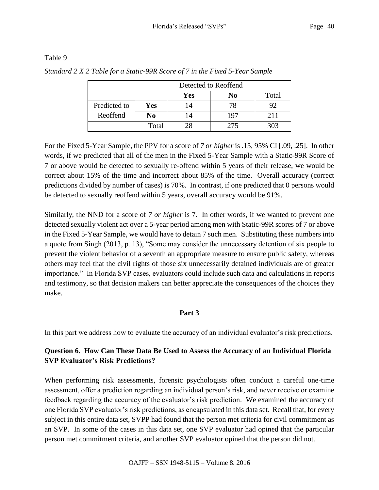#### Table 9

|  | Standard 2 X 2 Table for a Static-99R Score of 7 in the Fixed 5-Year Sample |  |
|--|-----------------------------------------------------------------------------|--|
|  | Detected to Reoffend                                                        |  |

|              |       | Detected to Reoffend |     |       |
|--------------|-------|----------------------|-----|-------|
|              |       | <b>Yes</b>           | No  | Total |
| Predicted to | Yes   | 4                    | 78  | 92    |
| Reoffend     | No    | 4                    | 197 | 211   |
|              | Total | 28                   | 275 | 303   |

For the Fixed 5-Year Sample, the PPV for a score of *7 or higher* is .15, 95% CI [.09, .25]. In other words, if we predicted that all of the men in the Fixed 5-Year Sample with a Static-99R Score of 7 or above would be detected to sexually re-offend within 5 years of their release, we would be correct about 15% of the time and incorrect about 85% of the time. Overall accuracy (correct predictions divided by number of cases) is 70%. In contrast, if one predicted that 0 persons would be detected to sexually reoffend within 5 years, overall accuracy would be 91%.

Similarly, the NND for a score of *7 or higher* is 7. In other words, if we wanted to prevent one detected sexually violent act over a 5-year period among men with Static-99R scores of 7 or above in the Fixed 5-Year Sample, we would have to detain 7 such men. Substituting these numbers into a quote from Singh (2013, p. 13), "Some may consider the unnecessary detention of six people to prevent the violent behavior of a seventh an appropriate measure to ensure public safety, whereas others may feel that the civil rights of those six unnecessarily detained individuals are of greater importance." In Florida SVP cases, evaluators could include such data and calculations in reports and testimony, so that decision makers can better appreciate the consequences of the choices they make.

### **Part 3**

In this part we address how to evaluate the accuracy of an individual evaluator's risk predictions.

# **Question 6. How Can These Data Be Used to Assess the Accuracy of an Individual Florida SVP Evaluator's Risk Predictions?**

When performing risk assessments, forensic psychologists often conduct a careful one-time assessment, offer a prediction regarding an individual person's risk, and never receive or examine feedback regarding the accuracy of the evaluator's risk prediction. We examined the accuracy of one Florida SVP evaluator's risk predictions, as encapsulated in this data set. Recall that, for every subject in this entire data set, SVPP had found that the person met criteria for civil commitment as an SVP. In some of the cases in this data set, one SVP evaluator had opined that the particular person met commitment criteria, and another SVP evaluator opined that the person did not.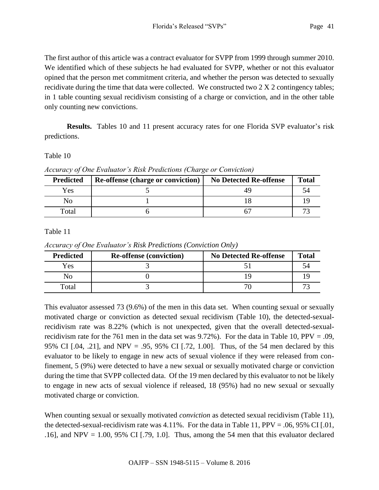The first author of this article was a contract evaluator for SVPP from 1999 through summer 2010. We identified which of these subjects he had evaluated for SVPP, whether or not this evaluator opined that the person met commitment criteria, and whether the person was detected to sexually recidivate during the time that data were collected. We constructed two 2 X 2 contingency tables; in 1 table counting sexual recidivism consisting of a charge or conviction, and in the other table only counting new convictions.

**Results.** Tables 10 and 11 present accuracy rates for one Florida SVP evaluator's risk predictions.

### Table 10

*Accuracy of One Evaluator's Risk Predictions (Charge or Conviction)*

| <b>Predicted</b> | <b>Re-offense (charge or conviction)</b> | <b>No Detected Re-offense</b> | <b>Total</b> |
|------------------|------------------------------------------|-------------------------------|--------------|
| Yes              |                                          |                               |              |
| NO               |                                          |                               |              |
| Total            |                                          |                               |              |

# Table 11

*Accuracy of One Evaluator's Risk Predictions (Conviction Only)*

| <b>Predicted</b> | <b>Re-offense (conviction)</b> | <b>No Detected Re-offense</b> | <b>Total</b> |
|------------------|--------------------------------|-------------------------------|--------------|
| Yes              |                                |                               |              |
| NO               |                                |                               |              |
| Total            |                                |                               |              |

This evaluator assessed 73 (9.6%) of the men in this data set. When counting sexual or sexually motivated charge or conviction as detected sexual recidivism (Table 10), the detected-sexualrecidivism rate was 8.22% (which is not unexpected, given that the overall detected-sexualrecidivism rate for the 761 men in the data set was 9.72%). For the data in Table 10,  $PPV = .09$ , 95% CI [.04, .21], and NPV = .95, 95% CI [.72, 1.00]. Thus, of the 54 men declared by this evaluator to be likely to engage in new acts of sexual violence if they were released from confinement, 5 (9%) were detected to have a new sexual or sexually motivated charge or conviction during the time that SVPP collected data. Of the 19 men declared by this evaluator to not be likely to engage in new acts of sexual violence if released, 18 (95%) had no new sexual or sexually motivated charge or conviction.

When counting sexual or sexually motivated *conviction* as detected sexual recidivism (Table 11), the detected-sexual-recidivism rate was 4.11%. For the data in Table 11, PPV = .06, 95% CI [.01, .16], and NPV = 1.00, 95% CI [.79, 1.0]. Thus, among the 54 men that this evaluator declared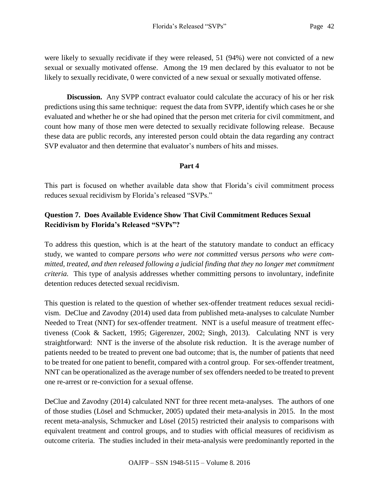were likely to sexually recidivate if they were released, 51 (94%) were not convicted of a new sexual or sexually motivated offense. Among the 19 men declared by this evaluator to not be likely to sexually recidivate, 0 were convicted of a new sexual or sexually motivated offense.

**Discussion.** Any SVPP contract evaluator could calculate the accuracy of his or her risk predictions using this same technique: request the data from SVPP, identify which cases he or she evaluated and whether he or she had opined that the person met criteria for civil commitment, and count how many of those men were detected to sexually recidivate following release. Because these data are public records, any interested person could obtain the data regarding any contract SVP evaluator and then determine that evaluator's numbers of hits and misses.

# **Part 4**

This part is focused on whether available data show that Florida's civil commitment process reduces sexual recidivism by Florida's released "SVPs."

# **Question 7. Does Available Evidence Show That Civil Commitment Reduces Sexual Recidivism by Florida's Released "SVPs"?**

To address this question, which is at the heart of the statutory mandate to conduct an efficacy study, we wanted to compare *persons who were not committed* versus *persons who were committed, treated, and then released following a judicial finding that they no longer met commitment criteria.* This type of analysis addresses whether committing persons to involuntary, indefinite detention reduces detected sexual recidivism.

This question is related to the question of whether sex-offender treatment reduces sexual recidivism. DeClue and Zavodny (2014) used data from published meta-analyses to calculate Number Needed to Treat (NNT) for sex-offender treatment. NNT is a useful measure of treatment effectiveness (Cook & Sackett, 1995; Gigerenzer, 2002; Singh, 2013). Calculating NNT is very straightforward: NNT is the inverse of the absolute risk reduction. It is the average number of patients needed to be treated to prevent one bad outcome; that is, the number of patients that need to be treated for one patient to benefit, compared with a control group. For sex-offender treatment, NNT can be operationalized as the average number of sex offenders needed to be treated to prevent one re-arrest or re-conviction for a sexual offense.

DeClue and Zavodny (2014) calculated NNT for three recent meta-analyses. The authors of one of those studies (Lösel and Schmucker, 2005) updated their meta-analysis in 2015. In the most recent meta-analysis, Schmucker and Lösel (2015) restricted their analysis to comparisons with equivalent treatment and control groups, and to studies with official measures of recidivism as outcome criteria. The studies included in their meta-analysis were predominantly reported in the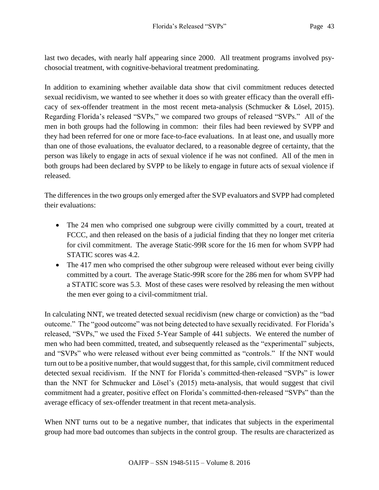last two decades, with nearly half appearing since 2000. All treatment programs involved psychosocial treatment, with cognitive-behavioral treatment predominating.

In addition to examining whether available data show that civil commitment reduces detected sexual recidivism, we wanted to see whether it does so with greater efficacy than the overall efficacy of sex-offender treatment in the most recent meta-analysis (Schmucker & Lösel, 2015). Regarding Florida's released "SVPs," we compared two groups of released "SVPs." All of the men in both groups had the following in common: their files had been reviewed by SVPP and they had been referred for one or more face-to-face evaluations. In at least one, and usually more than one of those evaluations, the evaluator declared, to a reasonable degree of certainty, that the person was likely to engage in acts of sexual violence if he was not confined. All of the men in both groups had been declared by SVPP to be likely to engage in future acts of sexual violence if released.

The differences in the two groups only emerged after the SVP evaluators and SVPP had completed their evaluations:

- The 24 men who comprised one subgroup were civilly committed by a court, treated at FCCC, and then released on the basis of a judicial finding that they no longer met criteria for civil commitment. The average Static-99R score for the 16 men for whom SVPP had STATIC scores was 4.2.
- The 417 men who comprised the other subgroup were released without ever being civilly committed by a court. The average Static-99R score for the 286 men for whom SVPP had a STATIC score was 5.3. Most of these cases were resolved by releasing the men without the men ever going to a civil-commitment trial.

In calculating NNT, we treated detected sexual recidivism (new charge or conviction) as the "bad outcome." The "good outcome" was not being detected to have sexually recidivated. For Florida's released, "SVPs," we used the Fixed 5-Year Sample of 441 subjects. We entered the number of men who had been committed, treated, and subsequently released as the "experimental" subjects, and "SVPs" who were released without ever being committed as "controls." If the NNT would turn out to be a positive number, that would suggest that, for this sample, civil commitment reduced detected sexual recidivism. If the NNT for Florida's committed-then-released "SVPs" is lower than the NNT for Schmucker and Lösel's (2015) meta-analysis, that would suggest that civil commitment had a greater, positive effect on Florida's committed-then-released "SVPs" than the average efficacy of sex-offender treatment in that recent meta-analysis.

When NNT turns out to be a negative number, that indicates that subjects in the experimental group had more bad outcomes than subjects in the control group. The results are characterized as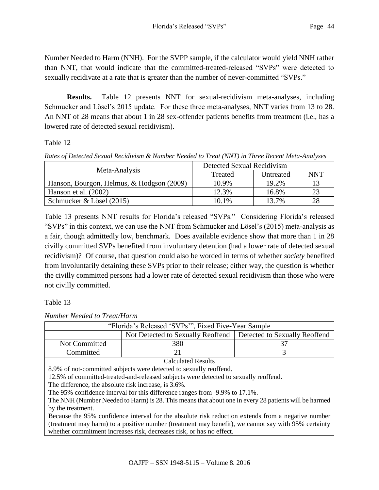Number Needed to Harm (NNH). For the SVPP sample, if the calculator would yield NNH rather than NNT, that would indicate that the committed-treated-released "SVPs" were detected to sexually recidivate at a rate that is greater than the number of never-committed "SVPs."

**Results.** Table 12 presents NNT for sexual-recidivism meta-analyses, including Schmucker and Lösel's 2015 update. For these three meta-analyses, NNT varies from 13 to 28. An NNT of 28 means that about 1 in 28 sex-offender patients benefits from treatment (i.e., has a lowered rate of detected sexual recidivism).

Table 12

*Rates of Detected Sexual Recidivism & Number Needed to Treat (NNT) in Three Recent Meta-Analyses*

| Meta-Analysis                             | Detected Sexual Recidivism |           |     |
|-------------------------------------------|----------------------------|-----------|-----|
|                                           | Treated                    | Untreated | NNT |
| Hanson, Bourgon, Helmus, & Hodgson (2009) | 10.9%                      | 19.2%     |     |
| Hanson et al. $(2002)$                    | 12.3%                      | 16.8%     | 23  |
| Schmucker & Lösel (2015)                  | 10.1%                      | 13.7%     | 28  |

Table 13 presents NNT results for Florida's released "SVPs." Considering Florida's released "SVPs" in this context, we can use the NNT from Schmucker and Lösel's (2015) meta-analysis as a fair, though admittedly low, benchmark. Does available evidence show that more than 1 in 28 civilly committed SVPs benefited from involuntary detention (had a lower rate of detected sexual recidivism)? Of course, that question could also be worded in terms of whether *society* benefited from involuntarily detaining these SVPs prior to their release; either way, the question is whether the civilly committed persons had a lower rate of detected sexual recidivism than those who were not civilly committed.

Table 13

*Number Needed to Treat/Harm*

| "Florida's Released 'SVPs"", Fixed Five-Year Sample                                                  |                                   |                               |  |  |
|------------------------------------------------------------------------------------------------------|-----------------------------------|-------------------------------|--|--|
|                                                                                                      | Not Detected to Sexually Reoffend | Detected to Sexually Reoffend |  |  |
| Not Committed                                                                                        | 380                               | 37                            |  |  |
| Committed                                                                                            | 21                                | 3                             |  |  |
| <b>Calculated Results</b>                                                                            |                                   |                               |  |  |
| 8.9% of not-committed subjects were detected to sexually reoffend.                                   |                                   |                               |  |  |
| 12.5% of committed-treated-and-released subjects were detected to sexually reoffend.                 |                                   |                               |  |  |
| The difference, the absolute risk increase, is 3.6%.                                                 |                                   |                               |  |  |
| The 95% confidence interval for this difference ranges from -9.9% to 17.1%.                          |                                   |                               |  |  |
| The NNH (Number Needed to Harm) is 28. This means that about one in every 28 patients will be harmed |                                   |                               |  |  |
| by the treatment.                                                                                    |                                   |                               |  |  |
| Because the 95% confidence interval for the absolute risk reduction extends from a negative number   |                                   |                               |  |  |
| (treatment may harm) to a positive number (treatment may benefit), we cannot say with 95% certainty  |                                   |                               |  |  |

whether commitment increases risk, decreases risk, or has no effect.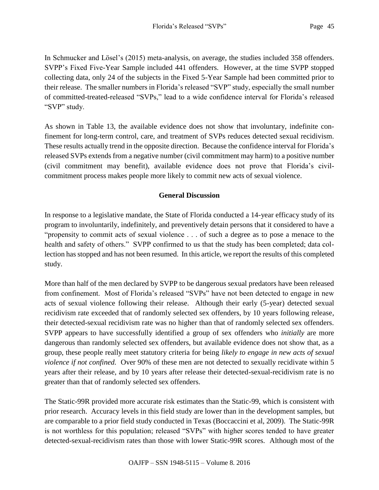In Schmucker and Lösel's (2015) meta-analysis, on average, the studies included 358 offenders. SVPP's Fixed Five-Year Sample included 441 offenders. However, at the time SVPP stopped collecting data, only 24 of the subjects in the Fixed 5-Year Sample had been committed prior to their release. The smaller numbers in Florida's released "SVP" study, especially the small number of committed-treated-released "SVPs," lead to a wide confidence interval for Florida's released "SVP" study.

As shown in Table 13, the available evidence does not show that involuntary, indefinite confinement for long-term control, care, and treatment of SVPs reduces detected sexual recidivism. These results actually trend in the opposite direction. Because the confidence interval for Florida's released SVPs extends from a negative number (civil commitment may harm) to a positive number (civil commitment may benefit), available evidence does not prove that Florida's civilcommitment process makes people more likely to commit new acts of sexual violence.

# **General Discussion**

In response to a legislative mandate, the State of Florida conducted a 14-year efficacy study of its program to involuntarily, indefinitely, and preventively detain persons that it considered to have a "propensity to commit acts of sexual violence . . . of such a degree as to pose a menace to the health and safety of others." SVPP confirmed to us that the study has been completed; data collection has stopped and has not been resumed. In this article, we report the results of this completed study.

More than half of the men declared by SVPP to be dangerous sexual predators have been released from confinement. Most of Florida's released "SVPs" have not been detected to engage in new acts of sexual violence following their release. Although their early (5-year) detected sexual recidivism rate exceeded that of randomly selected sex offenders, by 10 years following release, their detected-sexual recidivism rate was no higher than that of randomly selected sex offenders. SVPP appears to have successfully identified a group of sex offenders who *initially* are more dangerous than randomly selected sex offenders, but available evidence does not show that, as a group, these people really meet statutory criteria for being *likely to engage in new acts of sexual violence if not confined.* Over 90% of these men are not detected to sexually recidivate within 5 years after their release, and by 10 years after release their detected-sexual-recidivism rate is no greater than that of randomly selected sex offenders.

The Static-99R provided more accurate risk estimates than the Static-99, which is consistent with prior research. Accuracy levels in this field study are lower than in the development samples, but are comparable to a prior field study conducted in Texas (Boccaccini et al, 2009). The Static-99R is not worthless for this population; released "SVPs" with higher scores tended to have greater detected-sexual-recidivism rates than those with lower Static-99R scores. Although most of the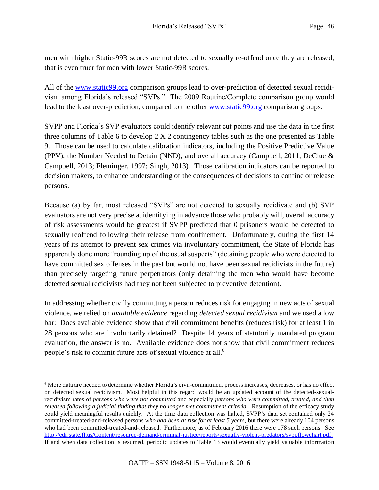men with higher Static-99R scores are not detected to sexually re-offend once they are released, that is even truer for men with lower Static-99R scores.

All of the [www.static99.org](http://www.static99.org/) comparison groups lead to over-prediction of detected sexual recidivism among Florida's released "SVPs." The 2009 Routine/Complete comparison group would lead to the least over-prediction, compared to the other [www.static99.org](http://www.static99.org/) comparison groups.

SVPP and Florida's SVP evaluators could identify relevant cut points and use the data in the first three columns of Table 6 to develop 2 X 2 contingency tables such as the one presented as Table 9. Those can be used to calculate calibration indicators, including the Positive Predictive Value (PPV), the Number Needed to Detain (NND), and overall accuracy (Campbell, 2011; DeClue & Campbell, 2013; Fleminger, 1997; Singh, 2013). Those calibration indicators can be reported to decision makers, to enhance understanding of the consequences of decisions to confine or release persons.

Because (a) by far, most released "SVPs" are not detected to sexually recidivate and (b) SVP evaluators are not very precise at identifying in advance those who probably will, overall accuracy of risk assessments would be greatest if SVPP predicted that 0 prisoners would be detected to sexually reoffend following their release from confinement. Unfortunately, during the first 14 years of its attempt to prevent sex crimes via involuntary commitment, the State of Florida has apparently done more "rounding up of the usual suspects" (detaining people who were detected to have committed sex offenses in the past but would not have been sexual recidivists in the future) than precisely targeting future perpetrators (only detaining the men who would have become detected sexual recidivists had they not been subjected to preventive detention).

In addressing whether civilly committing a person reduces risk for engaging in new acts of sexual violence, we relied on *available evidence* regarding *detected sexual recidivism* and we used a low bar: Does available evidence show that civil commitment benefits (reduces risk) for at least 1 in 28 persons who are involuntarily detained? Despite 14 years of statutorily mandated program evaluation, the answer is no. Available evidence does not show that civil commitment reduces people's risk to commit future acts of sexual violence at all.<sup>6</sup>

 $\overline{a}$ 

<sup>6</sup> More data are needed to determine whether Florida's civil-commitment process increases, decreases, or has no effect on detected sexual recidivism. Most helpful in this regard would be an updated account of the detected-sexualrecidivism rates of *persons who were not committed* and especially *persons who were committed, treated, and then released following a judicial finding that they no longer met commitment criteria.* Resumption of the efficacy study could yield meaningful results quickly. At the time data collection was halted, SVPP's data set contained only 24 committed-treated-and-released persons *who had been at risk for at least 5 years,* but there were already 104 persons who had been committed-treated-and-released. Furthermore, as of February 2016 there were 178 such persons. See [http://edr.state.fl.us/Content/resource-demand/criminal-justice/reports/sexually-violent-predators/svppflowchart.pdf.](http://edr.state.fl.us/Content/resource-demand/criminal-justice/reports/sexually-violent-predators/svppflowchart.pdf) If and when data collection is resumed, periodic updates to Table 13 would eventually yield valuable information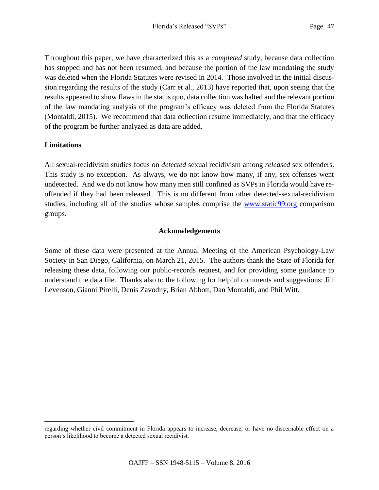Throughout this paper, we have characterized this as a *completed* study, because data collection has stopped and has not been resumed, and because the portion of the law mandating the study was deleted when the Florida Statutes were revised in 2014. Those involved in the initial discussion regarding the results of the study (Carr et al., 2013) have reported that, upon seeing that the results appeared to show flaws in the status quo, data collection was halted and the relevant portion of the law mandating analysis of the program's efficacy was deleted from the Florida Statutes (Montaldi, 2015). We recommend that data collection resume immediately, and that the efficacy of the program be further analyzed as data are added.

### **Limitations**

 $\overline{a}$ 

All sexual-recidivism studies focus on *detected* sexual recidivism among *released* sex offenders. This study is no exception. As always, we do not know how many, if any, sex offenses went undetected. And we do not know how many men still confined as SVPs in Florida would have reoffended if they had been released. This is no different from other detected-sexual-recidivism studies, including all of the studies whose samples comprise the [www.static99.org](http://www.static99.org/) comparison groups.

### **Acknowledgements**

Some of these data were presented at the Annual Meeting of the American Psychology-Law Society in San Diego, California, on March 21, 2015. The authors thank the State of Florida for releasing these data, following our public-records request, and for providing some guidance to understand the data file. Thanks also to the following for helpful comments and suggestions: Jill Levenson, Gianni Pirelli, Denis Zavodny, Brian Abbott, Dan Montaldi, and Phil Witt.

regarding whether civil commitment in Florida appears to increase, decrease, or have no discernable effect on a person's likelihood to become a detected sexual recidivist.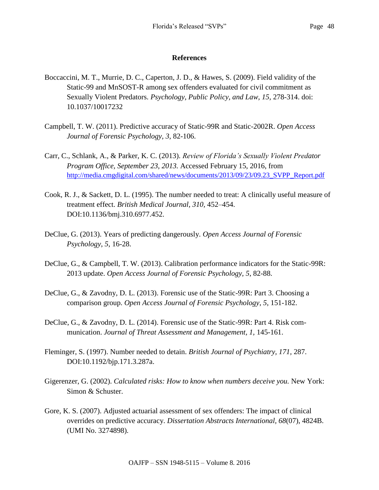### **References**

- Boccaccini, M. T., Murrie, D. C., Caperton, J. D., & Hawes, S. (2009). Field validity of the Static-99 and MnSOST-R among sex offenders evaluated for civil commitment as Sexually Violent Predators. *Psychology, Public Policy, and Law, 15,* 278-314. doi: 10.1037/10017232
- Campbell, T. W. (2011). Predictive accuracy of Static-99R and Static-2002R. *Open Access Journal of Forensic Psychology, 3,* 82-106.
- Carr, C., Schlank, A., & Parker, K. C. (2013). *Review of Florida's Sexually Violent Predator Program Office, September 23, 2013.* Accessed February 15, 2016, from [http://media.cmgdigital.com/shared/news/documents/2013/09/23/09.23\\_SVPP\\_Report.pdf](http://media.cmgdigital.com/shared/news/documents/2013/09/23/09.23_SVPP_Report.pdf)
- Cook, R. J., & Sackett, D. L. (1995). The number needed to treat: A clinically useful measure of treatment effect. *British Medical Journal, 310,* 452–454. DOI:10.1136/bmj.310.6977.452.
- DeClue, G. (2013). Years of predicting dangerously. *Open Access Journal of Forensic Psychology*, *5*, 16-28.
- DeClue, G., & Campbell, T. W. (2013). Calibration performance indicators for the Static-99R: 2013 update. *Open Access Journal of Forensic Psychology, 5*, 82-88.
- DeClue, G., & Zavodny, D. L. (2013). Forensic use of the Static-99R: Part 3. Choosing a comparison group. *Open Access Journal of Forensic Psychology*, *5*, 151-182.
- DeClue, G., & Zavodny, D. L. (2014). Forensic use of the Static-99R: Part 4. Risk communication. *Journal of Threat Assessment and Management, 1,* 145-161.
- Fleminger, S. (1997). Number needed to detain. *British Journal of Psychiatry, 171,* 287. DOI:10.1192/bjp.171.3.287a.
- Gigerenzer, G. (2002). *Calculated risks: How to know when numbers deceive you.* New York: Simon & Schuster.
- Gore, K. S. (2007). Adjusted actuarial assessment of sex offenders: The impact of clinical overrides on predictive accuracy. *Dissertation Abstracts International, 68*(07), 4824B. (UMI No. 3274898).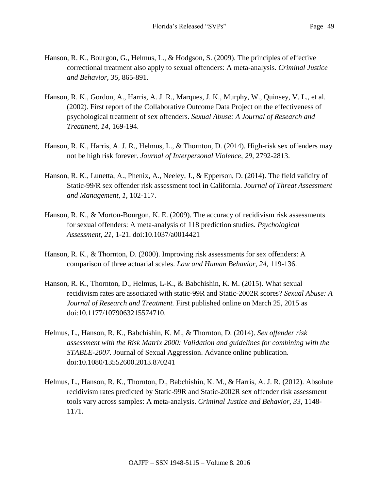- Hanson, R. K., Bourgon, G., Helmus, L., & Hodgson, S. (2009). The principles of effective correctional treatment also apply to sexual offenders: A meta-analysis. *Criminal Justice and Behavior, 36,* 865-891.
- Hanson, R. K., Gordon, A., Harris, A. J. R., Marques, J. K., Murphy, W., Quinsey, V. L., et al. (2002). First report of the Collaborative Outcome Data Project on the effectiveness of psychological treatment of sex offenders. *Sexual Abuse: A Journal of Research and Treatment*, *14*, 169-194.
- Hanson, R. K., Harris, A. J. R., Helmus, L., & Thornton, D. (2014). High-risk sex offenders may not be high risk forever. *Journal of Interpersonal Violence, 29,* 2792-2813.
- Hanson, R. K., Lunetta, A., Phenix, A., Neeley, J., & Epperson, D. (2014). The field validity of Static-99/R sex offender risk assessment tool in California. *Journal of Threat Assessment and Management, 1,* 102-117.
- Hanson, R. K., & Morton-Bourgon, K. E. (2009). The accuracy of recidivism risk assessments for sexual offenders: A meta-analysis of 118 prediction studies. *Psychological Assessment*, *21*, 1-21. doi:10.1037/a0014421
- Hanson, R. K., & Thornton, D. (2000). Improving risk assessments for sex offenders: A comparison of three actuarial scales. *Law and Human Behavior, 24,* 119-136.
- Hanson, R. K., Thornton, D., Helmus, L-K., & Babchishin, K. M. (2015). What sexual recidivism rates are associated with static-99R and Static-2002R scores? *Sexual Abuse: A Journal of Research and Treatment.* First published online on March 25, 2015 as doi:10.1177/1079063215574710.
- Helmus, L., Hanson, R. K., Babchishin, K. M., & Thornton, D. (2014). *Sex offender risk assessment with the Risk Matrix 2000: Validation and guidelines for combining with the STABLE-2007.* Journal of Sexual Aggression. Advance online publication. doi:10.1080/13552600.2013.870241
- Helmus, L., Hanson, R. K., Thornton, D., Babchishin, K. M., & Harris, A. J. R. (2012). Absolute recidivism rates predicted by Static-99R and Static-2002R sex offender risk assessment tools vary across samples: A meta-analysis. *Criminal Justice and Behavior, 33*, 1148- 1171.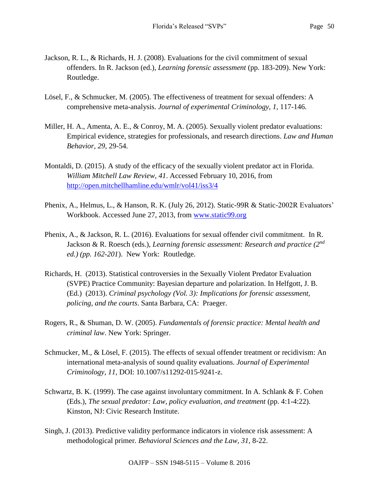- Jackson, R. L., & Richards, H. J. (2008). Evaluations for the civil commitment of sexual offenders. In R. Jackson (ed.), *Learning forensic assessment* (pp. 183-209). New York: Routledge.
- Lösel, F., & Schmucker, M. (2005). The effectiveness of treatment for sexual offenders: A comprehensive meta-analysis. *Journal of experimental Criminology, 1,* 117-146.
- Miller, H. A., Amenta, A. E., & Conroy, M. A. (2005). Sexually violent predator evaluations: Empirical evidence, strategies for professionals, and research directions. *Law and Human Behavior, 29*, 29-54.
- Montaldi, D. (2015). A study of the efficacy of the sexually violent predator act in Florida. *William Mitchell Law Review*, *41*. Accessed February 10, 2016, from <http://open.mitchellhamline.edu/wmlr/vol41/iss3/4>
- Phenix, A., Helmus, L., & Hanson, R. K. (July 26, 2012). Static-99R & Static-2002R Evaluators' Workbook. Accessed June 27, 2013, from [www.static99.org](http://www.static99.org/)
- Phenix, A., & Jackson, R. L. (2016). Evaluations for sexual offender civil commitment. In R. Jackson & R. Roesch (eds.), *Learning forensic assessment: Research and practice (2nd ed.) (pp. 162-201*). New York: Routledge.
- Richards, H. (2013). Statistical controversies in the Sexually Violent Predator Evaluation (SVPE) Practice Community: Bayesian departure and polarization. In Helfgott, J. B. (Ed.) (2013). *Criminal psychology (Vol. 3): Implications for forensic assessment, policing, and the courts*. Santa Barbara, CA: Praeger.
- Rogers, R., & Shuman, D. W. (2005). *Fundamentals of forensic practice: Mental health and criminal law*. New York: Springer.
- Schmucker, M., & Lösel, F. (2015). The effects of sexual offender treatment or recidivism: An international meta-analysis of sound quality evaluations. *Journal of Experimental Criminology, 11,* DOI: 10.1007/s11292-015-9241-z.
- Schwartz, B. K. (1999). The case against involuntary commitment. In A. Schlank & F. Cohen (Eds.), *The sexual predator: Law, policy evaluation, and treatment* (pp. 4:1-4:22). Kinston, NJ: Civic Research Institute.
- Singh, J. (2013). Predictive validity performance indicators in violence risk assessment: A methodological primer. *Behavioral Sciences and the Law, 31,* 8-22.